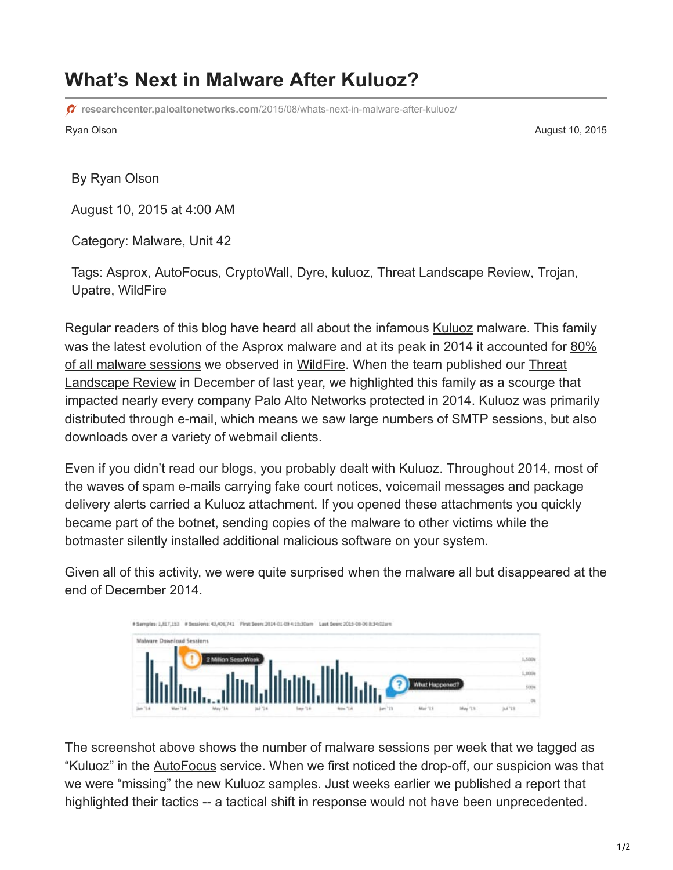## **What's Next in Malware After Kuluoz?**

**researchcenter.paloaltonetworks.com**[/2015/08/whats-next-in-malware-after-kuluoz/](https://researchcenter.paloaltonetworks.com/2015/08/whats-next-in-malware-after-kuluoz/)

Ryan Olson August 10, 2015

## By [Ryan Olson](https://unit42.paloaltonetworks.com/author/ryan-olson/)

August 10, 2015 at 4:00 AM

Category: [Malware,](https://unit42.paloaltonetworks.com/category/malware-2/) [Unit 42](https://unit42.paloaltonetworks.com/category/unit42/)

Tags: [Asprox](https://unit42.paloaltonetworks.com/tag/asprox/), [AutoFocus,](https://unit42.paloaltonetworks.com/tag/autofocus/) [CryptoWall](https://unit42.paloaltonetworks.com/tag/cryptowall/), [Dyre,](https://unit42.paloaltonetworks.com/tag/dyre/) [kuluoz,](https://unit42.paloaltonetworks.com/tag/kuluoz/) [Threat Landscape Review,](https://unit42.paloaltonetworks.com/tag/threat-landscape-review/) [Trojan,](https://unit42.paloaltonetworks.com/tag/trojan/) [Upatre](https://unit42.paloaltonetworks.com/tag/upatre/), [WildFire](https://unit42.paloaltonetworks.com/tag/wildfire/)

Regular readers of this blog have heard all about the infamous [Kuluoz](https://blog.paloaltonetworks.com/tag/kuluoz/) malware. This family [was the latest evolution of the Asprox malware and at its peak in 2014 it accounted for 80%](https://blog.paloaltonetworks.com/2014/12/how-malware-trends-affect-key-industries-from-healthcare-to-high-tech/) of all malware sessions we observed in [WildFire](https://www.paloaltonetworks.com/products/technologies/wildfire.html). When the team published our Threat [Landscape Review in December of last year, we highlighted this family as a scourge th](https://www.paloaltonetworks.com/resources/research/threat-landscape-review.html)at impacted nearly every company Palo Alto Networks protected in 2014. Kuluoz was primarily distributed through e-mail, which means we saw large numbers of SMTP sessions, but also downloads over a variety of webmail clients.

Even if you didn't read our blogs, you probably dealt with Kuluoz. Throughout 2014, most of the waves of spam e-mails carrying fake court notices, voicemail messages and package delivery alerts carried a Kuluoz attachment. If you opened these attachments you quickly became part of the botnet, sending copies of the malware to other victims while the botmaster silently installed additional malicious software on your system.

Given all of this activity, we were quite surprised when the malware all but disappeared at the end of December 2014.



The screenshot above shows the number of malware sessions per week that we tagged as "Kuluoz" in the [AutoFocus](https://www.paloaltonetworks.com/products/platforms/subscriptions/autofocus.html) service. When we first noticed the drop-off, our suspicion was that we were "missing" the new Kuluoz samples. Just weeks earlier we published a report that highlighted their tactics -- a tactical shift in response would not have been unprecedented.